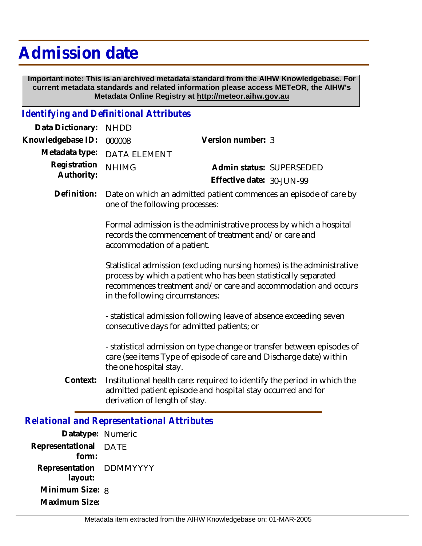# **Admission date**

 **Important note: This is an archived metadata standard from the AIHW Knowledgebase. For current metadata standards and related information please access METeOR, the AIHW's Metadata Online Registry at http://meteor.aihw.gov.au**

## *Identifying and Definitional Attributes*

| Data Dictionary:           | <b>NHDD</b>                                                                                                                                                                                                                                   |                                                                                                                                        |
|----------------------------|-----------------------------------------------------------------------------------------------------------------------------------------------------------------------------------------------------------------------------------------------|----------------------------------------------------------------------------------------------------------------------------------------|
| Knowledgebase ID:          | 000008                                                                                                                                                                                                                                        | Version number: 3                                                                                                                      |
| Metadata type:             | <b>DATA ELEMENT</b>                                                                                                                                                                                                                           |                                                                                                                                        |
| Registration<br>Authority: | <b>NHIMG</b>                                                                                                                                                                                                                                  | Admin status: SUPERSEDED<br>Effective date: 30-JUN-99                                                                                  |
| Definition:                | Date on which an admitted patient commences an episode of care by<br>one of the following processes:                                                                                                                                          |                                                                                                                                        |
|                            | Formal admission is the administrative process by which a hospital<br>records the commencement of treatment and/or care and<br>accommodation of a patient.                                                                                    |                                                                                                                                        |
|                            | Statistical admission (excluding nursing homes) is the administrative<br>process by which a patient who has been statistically separated<br>recommences treatment and/or care and accommodation and occurs<br>in the following circumstances: |                                                                                                                                        |
|                            | - statistical admission following leave of absence exceeding seven<br>consecutive days for admitted patients; or                                                                                                                              |                                                                                                                                        |
|                            | - statistical admission on type change or transfer between episodes of<br>care (see items Type of episode of care and Discharge date) within<br>the one hospital stay.                                                                        |                                                                                                                                        |
| Context:                   | derivation of length of stay.                                                                                                                                                                                                                 | Institutional health care: required to identify the period in which the<br>admitted patient episode and hospital stay occurred and for |
|                            |                                                                                                                                                                                                                                               |                                                                                                                                        |

### *Relational and Representational Attributes*

| Datatype: Numeric |          |
|-------------------|----------|
| Representational  | DATE     |
| form:             |          |
| Representation    | DDMMYYYY |
| layout:           |          |
| Minimum Size: 8   |          |
| Maximum Size:     |          |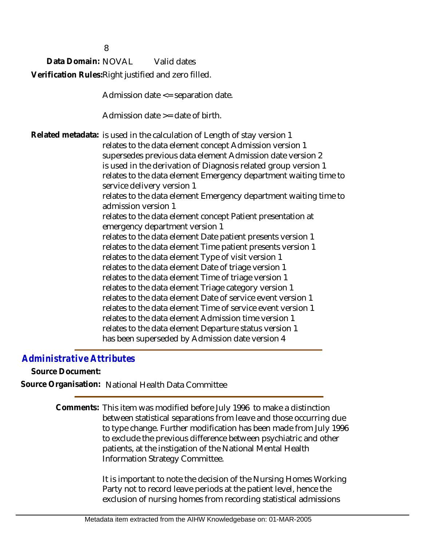Data Domain: NOVAL Valid dates Verification Rules:Right justified and zero filled.

8

Admission date <= separation date.

Admission date  $\geq$  date of birth.

Related metadata: is used in the calculation of Length of stay version 1 relates to the data element concept Admission version 1 supersedes previous data element Admission date version 2 is used in the derivation of Diagnosis related group version 1 relates to the data element Emergency department waiting time to service delivery version 1 relates to the data element Emergency department waiting time to admission version 1 relates to the data element concept Patient presentation at emergency department version 1 relates to the data element Date patient presents version 1 relates to the data element Time patient presents version 1 relates to the data element Type of visit version 1 relates to the data element Date of triage version 1 relates to the data element Time of triage version 1 relates to the data element Triage category version 1 relates to the data element Date of service event version 1 relates to the data element Time of service event version 1 relates to the data element Admission time version 1 relates to the data element Departure status version 1 has been superseded by Admission date version 4

## *Administrative Attributes*

**Source Document:**

**Source Organisation:** National Health Data Committee

Comments: This item was modified before July 1996 to make a distinction between statistical separations from leave and those occurring due to type change. Further modification has been made from July 1996 to exclude the previous difference between psychiatric and other patients, at the instigation of the National Mental Health Information Strategy Committee.

> It is important to note the decision of the Nursing Homes Working Party not to record leave periods at the patient level, hence the exclusion of nursing homes from recording statistical admissions